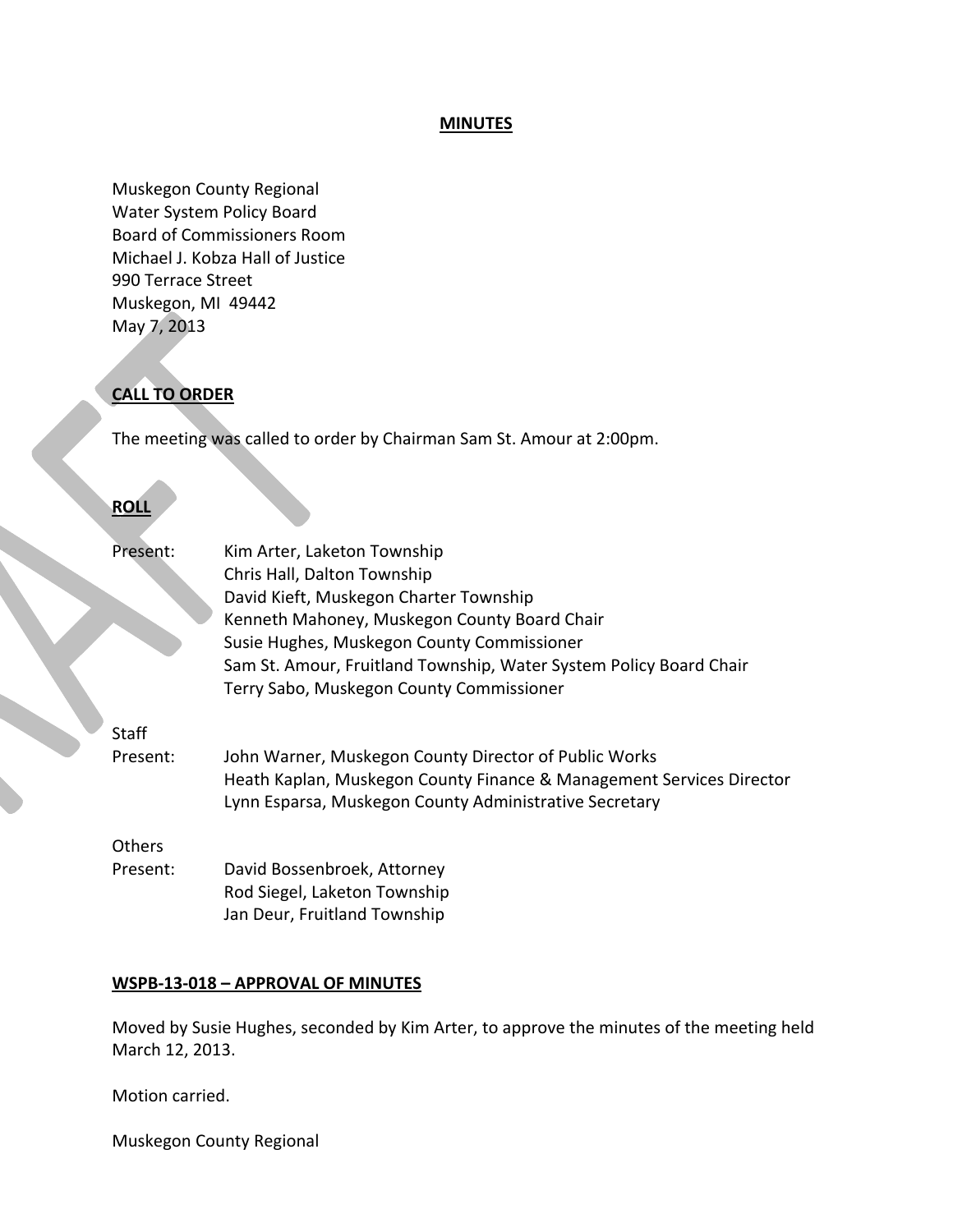#### **MINUTES**

Muskegon County Regional Water System Policy Board Board of Commissioners Room Michael J. Kobza Hall of Justice 990 Terrace Street Muskegon, MI 49442 May 7, 2013

# **CALL TO ORDER**

The meeting was called to order by Chairman Sam St. Amour at 2:00pm.

#### **ROLL**

| Present:      | Kim Arter, Laketon Township                                          |
|---------------|----------------------------------------------------------------------|
|               | Chris Hall, Dalton Township                                          |
|               | David Kieft, Muskegon Charter Township                               |
|               | Kenneth Mahoney, Muskegon County Board Chair                         |
|               | Susie Hughes, Muskegon County Commissioner                           |
|               | Sam St. Amour, Fruitland Township, Water System Policy Board Chair   |
|               | Terry Sabo, Muskegon County Commissioner                             |
| Staff         |                                                                      |
| Present:      | John Warner, Muskegon County Director of Public Works                |
|               | Heath Kaplan, Muskegon County Finance & Management Services Director |
|               | Lynn Esparsa, Muskegon County Administrative Secretary               |
| <b>Others</b> |                                                                      |
| Present:      | David Bossenbroek, Attorney                                          |
|               | Rod Siegel, Laketon Township                                         |
|               | Jan Deur, Fruitland Township                                         |

#### **WSPB-13-018 – APPROVAL OF MINUTES**

Moved by Susie Hughes, seconded by Kim Arter, to approve the minutes of the meeting held March 12, 2013.

Motion carried.

Muskegon County Regional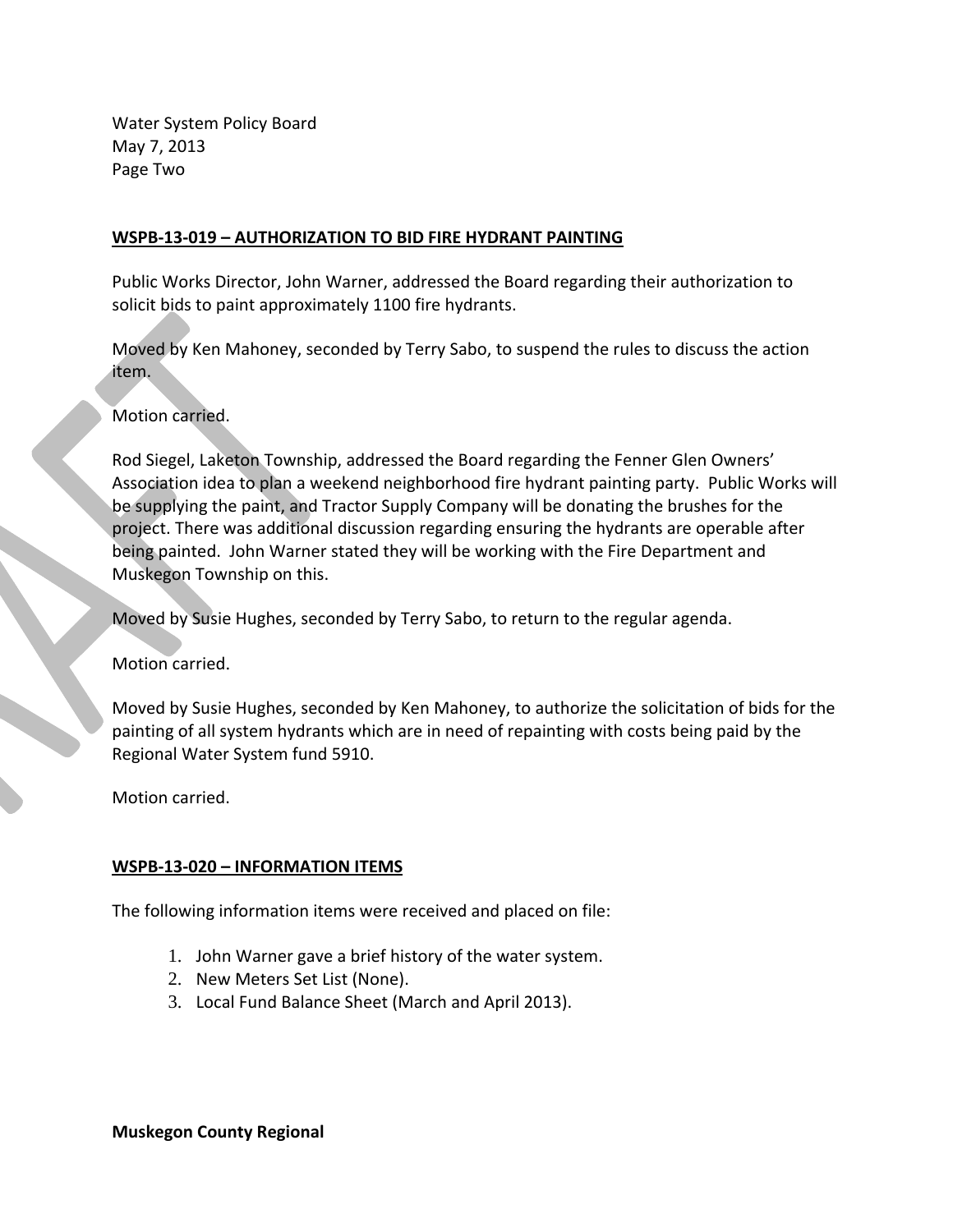Water System Policy Board May 7, 2013 Page Two

## **WSPB-13-019 – AUTHORIZATION TO BID FIRE HYDRANT PAINTING**

Public Works Director, John Warner, addressed the Board regarding their authorization to solicit bids to paint approximately 1100 fire hydrants.

Moved by Ken Mahoney, seconded by Terry Sabo, to suspend the rules to discuss the action item.

Motion carried.

Rod Siegel, Laketon Township, addressed the Board regarding the Fenner Glen Owners' Association idea to plan a weekend neighborhood fire hydrant painting party. Public Works will be supplying the paint, and Tractor Supply Company will be donating the brushes for the project. There was additional discussion regarding ensuring the hydrants are operable after being painted. John Warner stated they will be working with the Fire Department and Muskegon Township on this.

Moved by Susie Hughes, seconded by Terry Sabo, to return to the regular agenda.

Motion carried.

Moved by Susie Hughes, seconded by Ken Mahoney, to authorize the solicitation of bids for the painting of all system hydrants which are in need of repainting with costs being paid by the Regional Water System fund 5910.

Motion carried.

### **WSPB-13-020 – INFORMATION ITEMS**

The following information items were received and placed on file:

- 1. John Warner gave a brief history of the water system.
- 2. New Meters Set List (None).
- 3. Local Fund Balance Sheet (March and April 2013).

**Muskegon County Regional**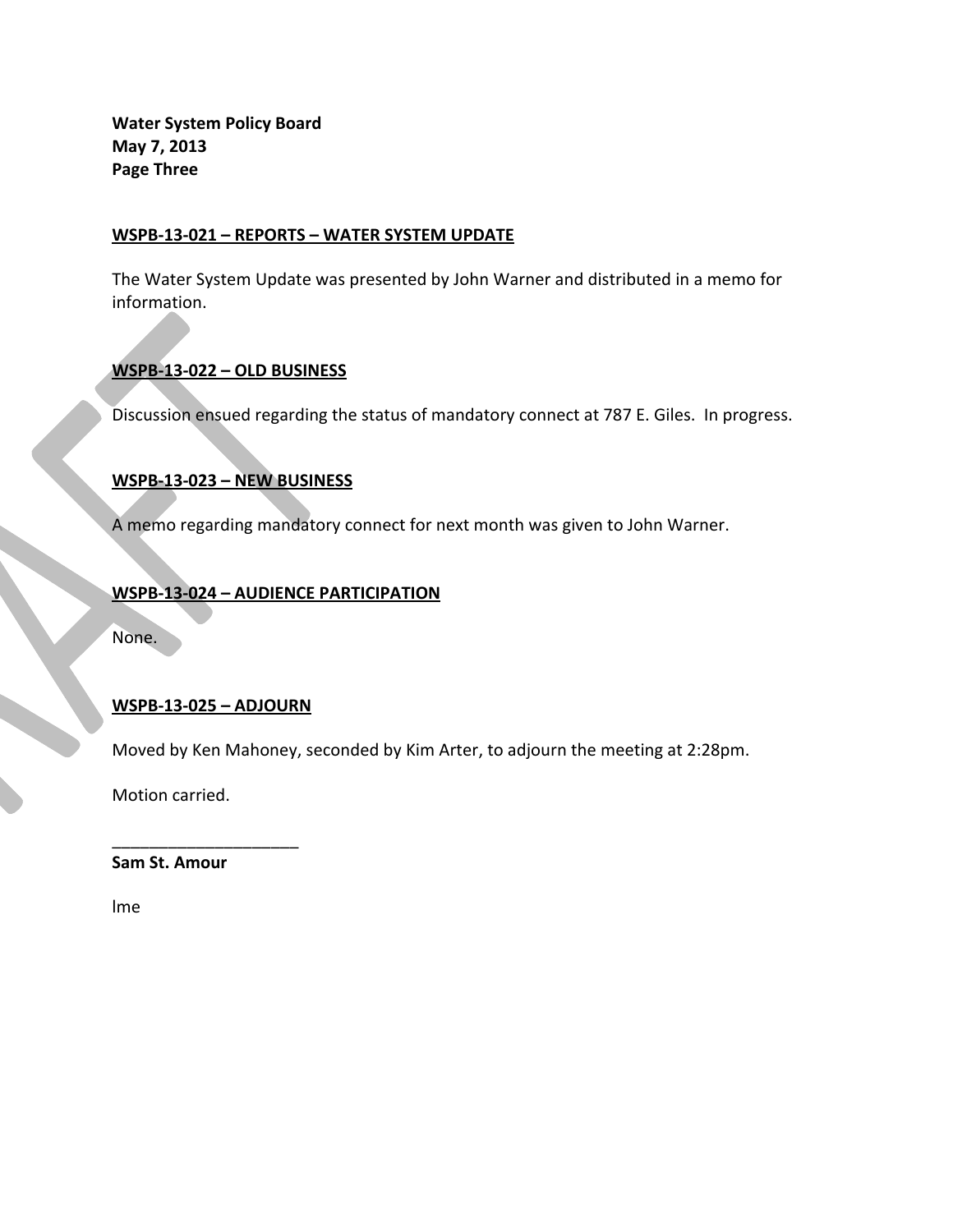**Water System Policy Board May 7, 2013 Page Three**

## **WSPB-13-021 – REPORTS – WATER SYSTEM UPDATE**

The Water System Update was presented by John Warner and distributed in a memo for information.

# **WSPB-13-022 – OLD BUSINESS**

Discussion ensued regarding the status of mandatory connect at 787 E. Giles. In progress.

# **WSPB-13-023 – NEW BUSINESS**

A memo regarding mandatory connect for next month was given to John Warner.

# **WSPB-13-024 – AUDIENCE PARTICIPATION**

None.

### **WSPB-13-025 – ADJOURN**

\_\_\_\_\_\_\_\_\_\_\_\_\_\_\_\_\_\_\_\_

Moved by Ken Mahoney, seconded by Kim Arter, to adjourn the meeting at 2:28pm.

Motion carried.

**Sam St. Amour** 

lme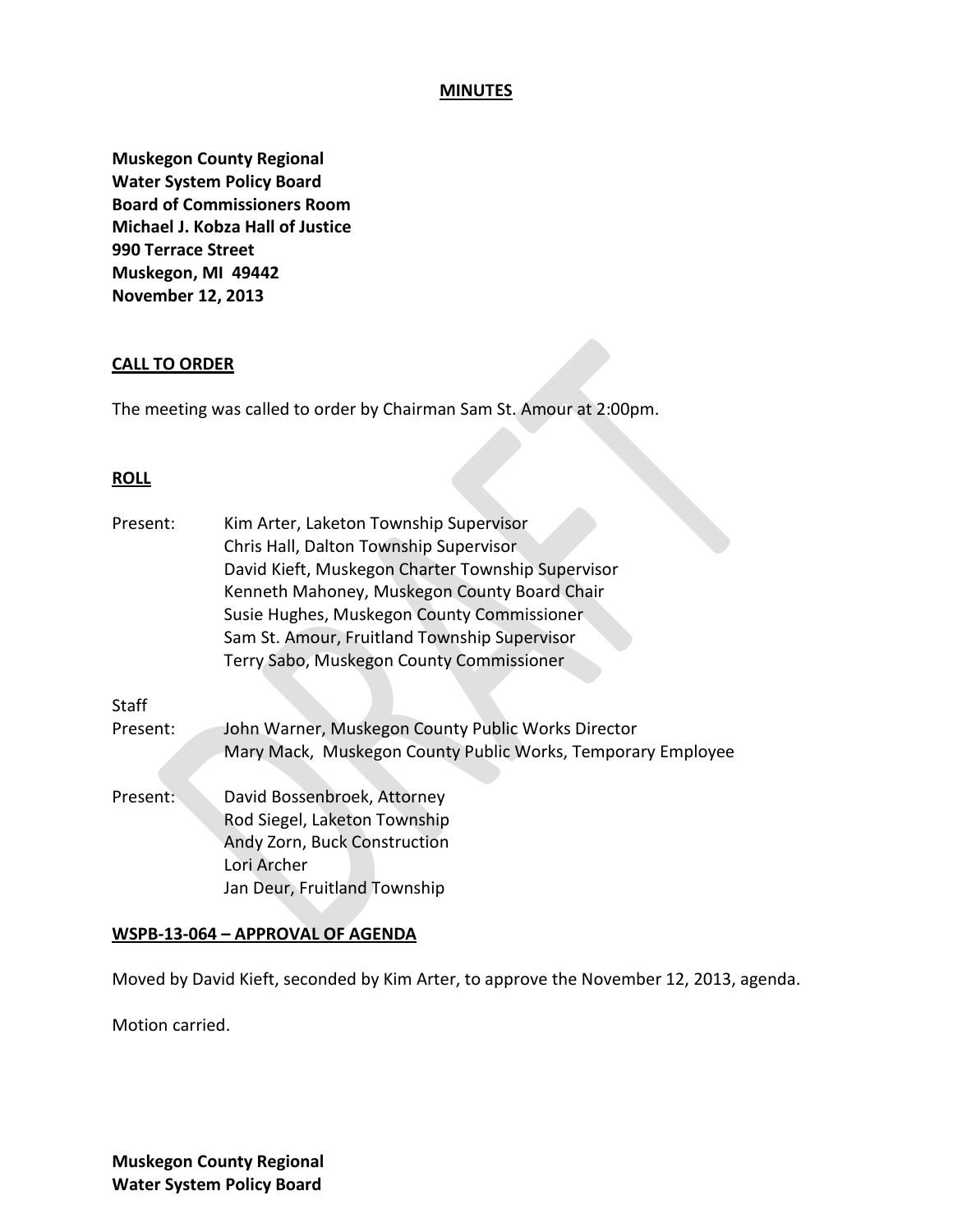#### **MINUTES**

**Muskegon County Regional Water System Policy Board Board of Commissioners Room Michael J. Kobza Hall of Justice 990 Terrace Street Muskegon, MI 49442 November 12, 2013**

#### **CALL TO ORDER**

The meeting was called to order by Chairman Sam St. Amour at 2:00pm.

#### **ROLL**

| Present: | Kim Arter, Laketon Township Supervisor                      |
|----------|-------------------------------------------------------------|
|          | Chris Hall, Dalton Township Supervisor                      |
|          | David Kieft, Muskegon Charter Township Supervisor           |
|          | Kenneth Mahoney, Muskegon County Board Chair                |
|          | Susie Hughes, Muskegon County Commissioner                  |
|          | Sam St. Amour, Fruitland Township Supervisor                |
|          | Terry Sabo, Muskegon County Commissioner                    |
| Staff    |                                                             |
| Present: | John Warner, Muskegon County Public Works Director          |
|          | Mary Mack, Muskegon County Public Works, Temporary Employee |
|          | David Bossenbroek, Attorney                                 |
| Present: |                                                             |
|          | Rod Siegel, Laketon Township                                |
|          | Andy Zorn, Buck Construction                                |
|          | Lori Archer                                                 |
|          | Jan Deur, Fruitland Township                                |
|          |                                                             |

#### **WSPB-13-064 – APPROVAL OF AGENDA**

Moved by David Kieft, seconded by Kim Arter, to approve the November 12, 2013, agenda.

Motion carried.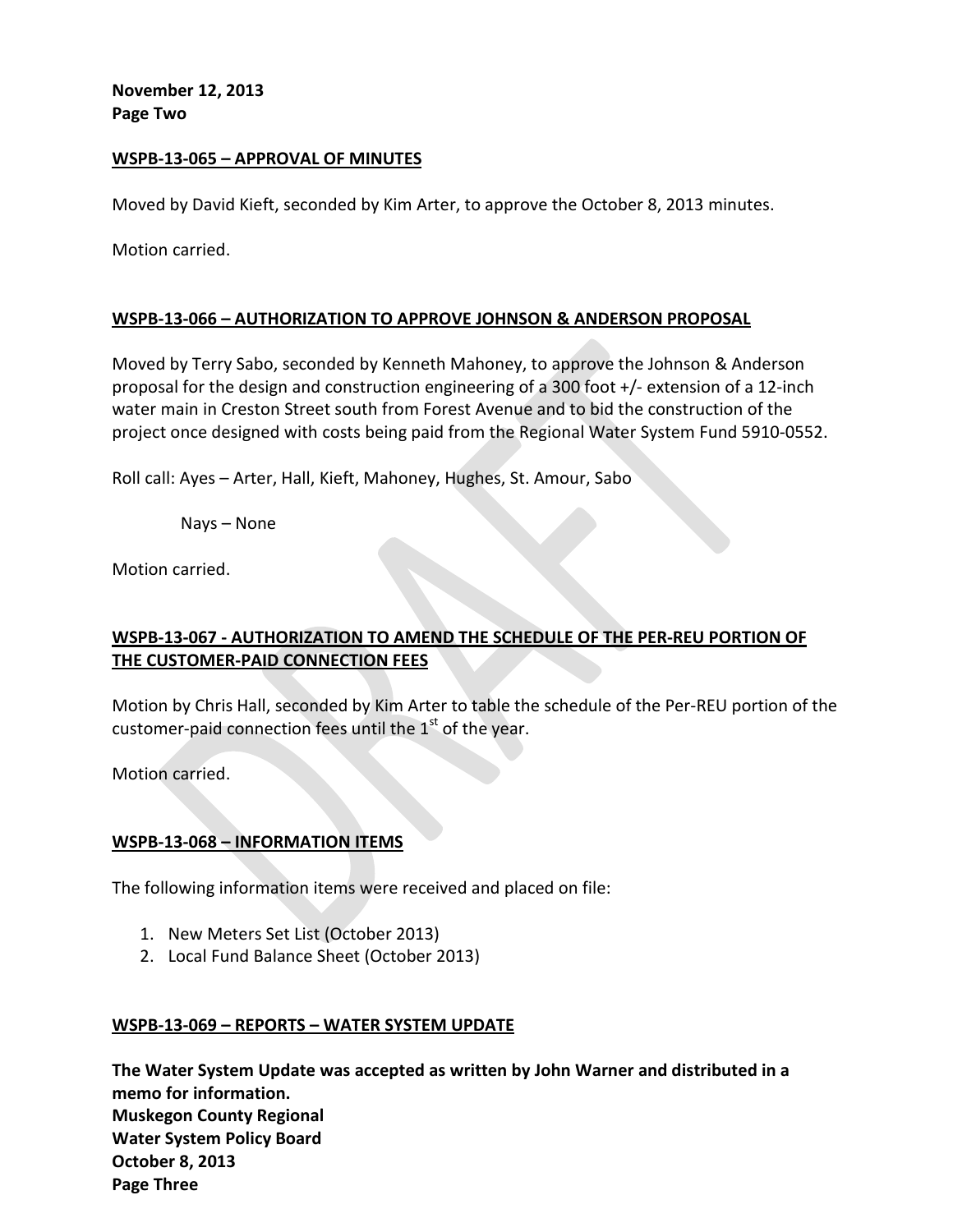**November 12, 2013 Page Two**

### **WSPB-13-065 – APPROVAL OF MINUTES**

Moved by David Kieft, seconded by Kim Arter, to approve the October 8, 2013 minutes.

Motion carried.

#### **WSPB-13-066 – AUTHORIZATION TO APPROVE JOHNSON & ANDERSON PROPOSAL**

Moved by Terry Sabo, seconded by Kenneth Mahoney, to approve the Johnson & Anderson proposal for the design and construction engineering of a 300 foot +/- extension of a 12-inch water main in Creston Street south from Forest Avenue and to bid the construction of the project once designed with costs being paid from the Regional Water System Fund 5910-0552.

Roll call: Ayes – Arter, Hall, Kieft, Mahoney, Hughes, St. Amour, Sabo

Nays – None

Motion carried.

# **WSPB-13-067 - AUTHORIZATION TO AMEND THE SCHEDULE OF THE PER-REU PORTION OF THE CUSTOMER-PAID CONNECTION FEES**

Motion by Chris Hall, seconded by Kim Arter to table the schedule of the Per-REU portion of the customer-paid connection fees until the  $1<sup>st</sup>$  of the year.

Motion carried.

# **WSPB-13-068 – INFORMATION ITEMS**

The following information items were received and placed on file:

- 1. New Meters Set List (October 2013)
- 2. Local Fund Balance Sheet (October 2013)

### **WSPB-13-069 – REPORTS – WATER SYSTEM UPDATE**

**The Water System Update was accepted as written by John Warner and distributed in a memo for information. Muskegon County Regional Water System Policy Board October 8, 2013 Page Three**